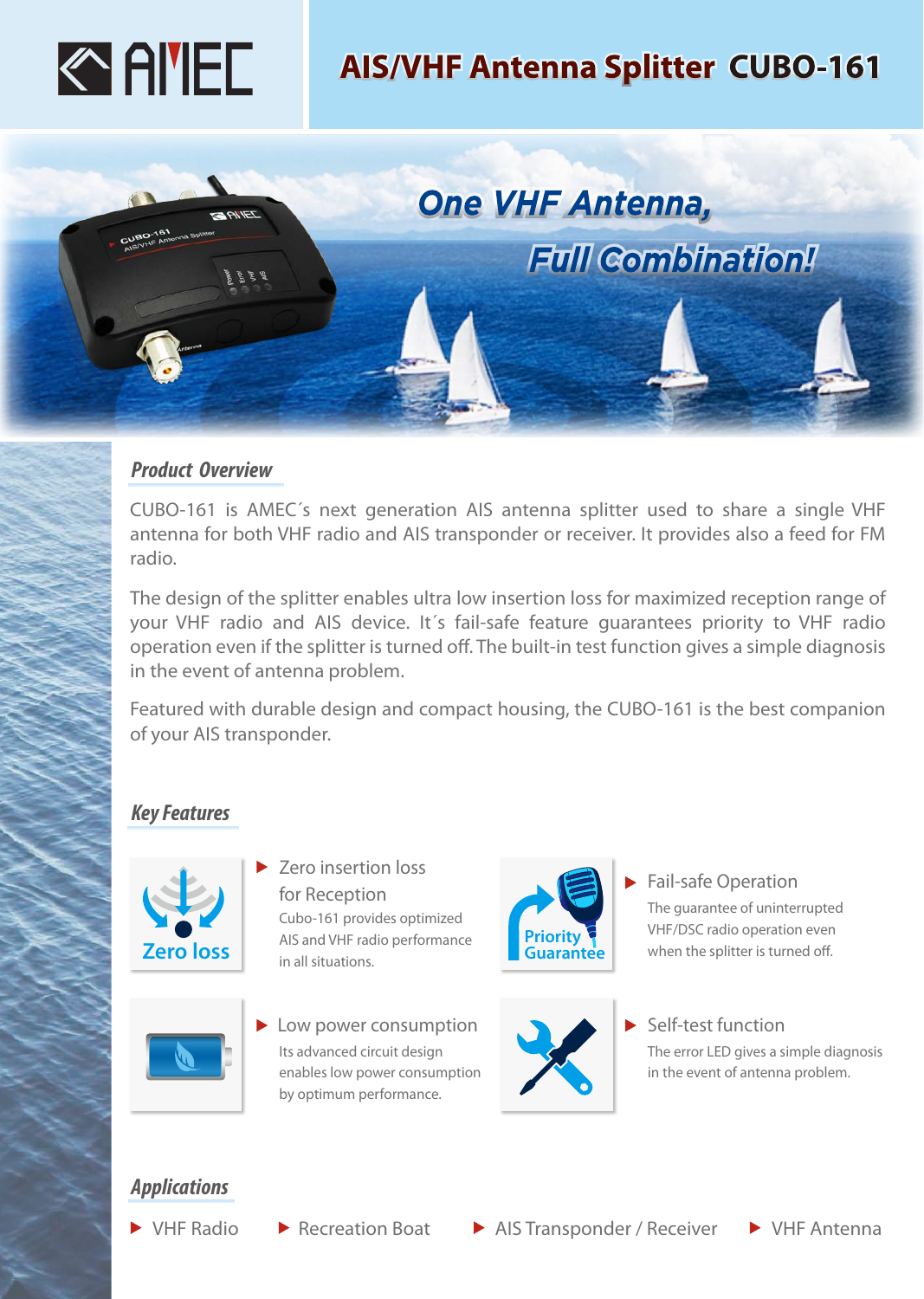

# **AIS/VHF Antenna Splitter CUBO-161**

**Full Combination!** 

**One VHF Antenna,** 



 $7 = 77$ 

CUBO-161 is AMEC´s next generation AIS antenna splitter used to share a single VHF antenna for both VHF radio and AIS transponder or receiver. It provides also a feed for FM radio.

The design of the splitter enables ultra low insertion loss for maximized reception range of your VHF radio and AIS device. It´s fail-safe feature guarantees priority to VHF radio operation even if the splitter is turned off. The built-in test function gives a simple diagnosis in the event of antenna problem.

Featured with durable design and compact housing, the CUBO-161 is the best companion of your AIS transponder.

## *Key Features*



Zero insertion loss for Reception Cubo-161 provides optimized AIS and VHF radio performance in all situations.



**Low power consumption** Its advanced circuit design enables low power consumption by optimum performance.



Fail-safe Operation The guarantee of uninterrupted VHF/DSC radio operation even when the splitter is turned off.



Self-test function The error LED gives a simple diagnosis in the event of antenna problem.

# *Applications*

- 
- 

▶ VHF Radio A Recreation Boat AIS Transponder / Receiver A VHF Antenna